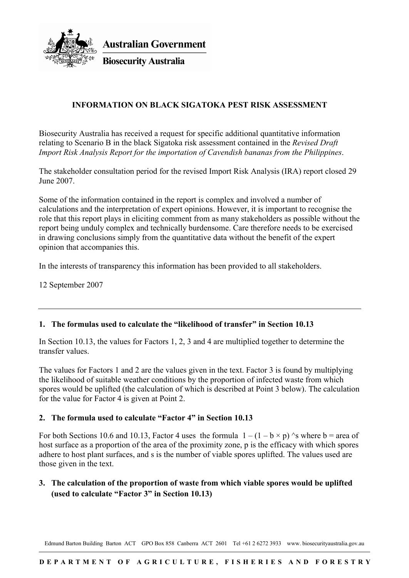

**Australian Government** 

**Biosecurity Australia** 

## **INFORMATION ON BLACK SIGATOKA PEST RISK ASSESSMENT**

Biosecurity Australia has received a request for specific additional quantitative information relating to Scenario B in the black Sigatoka risk assessment contained in the *Revised Draft Import Risk Analysis Report for the importation of Cavendish bananas from the Philippines*.

The stakeholder consultation period for the revised Import Risk Analysis (IRA) report closed 29 June 2007.

Some of the information contained in the report is complex and involved a number of calculations and the interpretation of expert opinions. However, it is important to recognise the role that this report plays in eliciting comment from as many stakeholders as possible without the report being unduly complex and technically burdensome. Care therefore needs to be exercised in drawing conclusions simply from the quantitative data without the benefit of the expert opinion that accompanies this.

In the interests of transparency this information has been provided to all stakeholders.

12 September 2007

## **1. The formulas used to calculate the "likelihood of transfer" in Section 10.13**

In Section 10.13, the values for Factors 1, 2, 3 and 4 are multiplied together to determine the transfer values.

The values for Factors 1 and 2 are the values given in the text. Factor 3 is found by multiplying the likelihood of suitable weather conditions by the proportion of infected waste from which spores would be uplifted (the calculation of which is described at Point 3 below). The calculation for the value for Factor 4 is given at Point 2.

#### **2. The formula used to calculate "Factor 4" in Section 10.13**

For both Sections 10.6 and 10.13, Factor 4 uses the formula  $1 - (1 - b \times p)$  's where b = area of host surface as a proportion of the area of the proximity zone, p is the efficacy with which spores adhere to host plant surfaces, and s is the number of viable spores uplifted. The values used are those given in the text.

## **3. The calculation of the proportion of waste from which viable spores would be uplifted (used to calculate "Factor 3" in Section 10.13)**

Edmund Barton Building Barton ACT GPO Box 858 Canberra ACT 2601 Tel +61 2 6272 3933 www. biosecurityaustralia.gov.au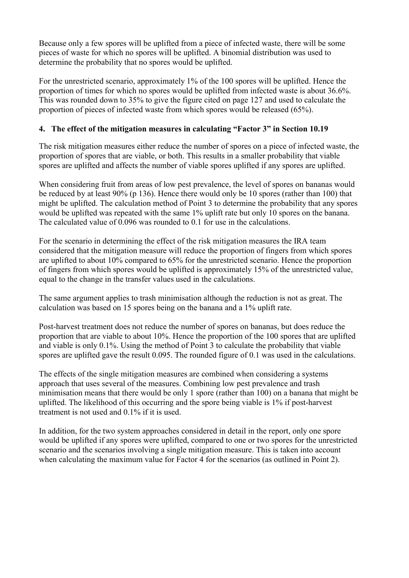Because only a few spores will be uplifted from a piece of infected waste, there will be some pieces of waste for which no spores will be uplifted. A binomial distribution was used to determine the probability that no spores would be uplifted.

For the unrestricted scenario, approximately 1% of the 100 spores will be uplifted. Hence the proportion of times for which no spores would be uplifted from infected waste is about 36.6%. This was rounded down to 35% to give the figure cited on page 127 and used to calculate the proportion of pieces of infected waste from which spores would be released (65%).

#### **4. The effect of the mitigation measures in calculating "Factor 3" in Section 10.19**

The risk mitigation measures either reduce the number of spores on a piece of infected waste, the proportion of spores that are viable, or both. This results in a smaller probability that viable spores are uplifted and affects the number of viable spores uplifted if any spores are uplifted.

When considering fruit from areas of low pest prevalence, the level of spores on bananas would be reduced by at least 90% (p 136). Hence there would only be 10 spores (rather than 100) that might be uplifted. The calculation method of Point 3 to determine the probability that any spores would be uplifted was repeated with the same 1% uplift rate but only 10 spores on the banana. The calculated value of 0.096 was rounded to 0.1 for use in the calculations.

For the scenario in determining the effect of the risk mitigation measures the IRA team considered that the mitigation measure will reduce the proportion of fingers from which spores are uplifted to about 10% compared to 65% for the unrestricted scenario. Hence the proportion of fingers from which spores would be uplifted is approximately 15% of the unrestricted value, equal to the change in the transfer values used in the calculations.

The same argument applies to trash minimisation although the reduction is not as great. The calculation was based on 15 spores being on the banana and a 1% uplift rate.

Post-harvest treatment does not reduce the number of spores on bananas, but does reduce the proportion that are viable to about 10%. Hence the proportion of the 100 spores that are uplifted and viable is only 0.1%. Using the method of Point 3 to calculate the probability that viable spores are uplifted gave the result 0.095. The rounded figure of 0.1 was used in the calculations.

The effects of the single mitigation measures are combined when considering a systems approach that uses several of the measures. Combining low pest prevalence and trash minimisation means that there would be only 1 spore (rather than 100) on a banana that might be uplifted. The likelihood of this occurring and the spore being viable is 1% if post-harvest treatment is not used and 0.1% if it is used.

In addition, for the two system approaches considered in detail in the report, only one spore would be uplifted if any spores were uplifted, compared to one or two spores for the unrestricted scenario and the scenarios involving a single mitigation measure. This is taken into account when calculating the maximum value for Factor 4 for the scenarios (as outlined in Point 2).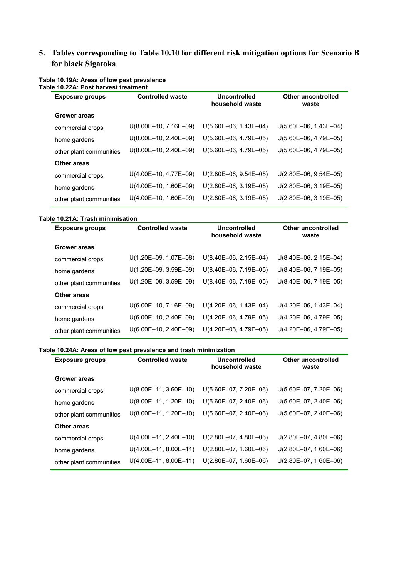# **5. Tables corresponding to Table 10.10 for different risk mitigation options for Scenario B for black Sigatoka**

| <b>Controlled waste</b> | Uncontrolled<br>household waste | <b>Other uncontrolled</b><br>waste |
|-------------------------|---------------------------------|------------------------------------|
|                         |                                 |                                    |
| $U(8.00E-10, 7.16E-09)$ | $U(5.60E-06, 1.43E-04)$         | $U(5.60E-06, 1.43E-04)$            |
| $U(8.00E-10, 2.40E-09)$ | $U(5.60E-06, 4.79E-05)$         | $U(5.60E-06, 4.79E-05)$            |
| $U(8.00E-10, 2.40E-09)$ | $U(5.60E-06, 4.79E-05)$         | $U(5.60E-06, 4.79E-05)$            |
|                         |                                 |                                    |
| $U(4.00E-10, 4.77E-09)$ | $U(2.80E-06, 9.54E-05)$         | $U(2.80E-06, 9.54E-05)$            |
| $U(4.00E-10, 1.60E-09)$ | $U(2.80E-06, 3.19E-05)$         | $U(2.80E-06, 3.19E-05)$            |
| $U(4.00E-10, 1.60E-09)$ | $U(2.80E-06, 3.19E-05)$         | $U(2.80E-06, 3.19E-05)$            |
|                         |                                 |                                    |

#### **Table 10.19A: Areas of low pest prevalence Table 10.22A: Post harvest treatment**

#### **Table 10.21A: Trash minimisation**

| <b>Controlled waste</b> | Uncontrolled<br>household waste | <b>Other uncontrolled</b><br>waste |
|-------------------------|---------------------------------|------------------------------------|
|                         |                                 |                                    |
| U(1.20E-09, 1.07E-08)   | $U(8.40E-06, 2.15E-04)$         | $U(8.40E-06, 2.15E-04)$            |
| $U(1.20E-09, 3.59E-09)$ | $U(8.40E-06, 7.19E-05)$         | $U(8.40E-06, 7.19E-05)$            |
| $U(1.20E-09, 3.59E-09)$ | U(8.40E-06, 7.19E-05)           | U(8.40E-06, 7.19E-05)              |
|                         |                                 |                                    |
| $U(6.00E-10, 7.16E-09)$ | $U(4.20E-06, 1.43E-04)$         | $U(4.20E-06, 1.43E-04)$            |
| $U(6.00E-10, 2.40E-09)$ | $U(4.20E-06, 4.79E-05)$         | $U(4.20E-06, 4.79E-05)$            |
| $U(6.00E-10, 2.40E-09)$ | $U(4.20E-06, 4.79E-05)$         | $U(4.20E-06, 4.79E-05)$            |
|                         |                                 |                                    |

#### **Table 10.24A: Areas of low pest prevalence and trash minimization**

| <b>Exposure groups</b>  | <b>Controlled waste</b> | Uncontrolled<br>household waste | Other uncontrolled<br>waste |
|-------------------------|-------------------------|---------------------------------|-----------------------------|
| <b>Grower areas</b>     |                         |                                 |                             |
| commercial crops        | $U(8.00E-11, 3.60E-10)$ | $U(5.60E-07, 7.20E-06)$         | $U(5.60E-07, 7.20E-06)$     |
| home gardens            | $U(8.00E-11, 1.20E-10)$ | $U(5.60E-07, 2.40E-06)$         | $U(5.60E-07, 2.40E-06)$     |
| other plant communities | $U(8.00E-11, 1.20E-10)$ | $U(5.60E-07, 2.40E-06)$         | $U(5.60E-07, 2.40E-06)$     |
| Other areas             |                         |                                 |                             |
| commercial crops        | U(4.00E-11, 2.40E-10)   | $U(2.80E-07, 4.80E-06)$         | $U(2.80E-07, 4.80E-06)$     |
| home gardens            | $U(4.00E-11, 8.00E-11)$ | $U(2.80E-07, 1.60E-06)$         | $U(2.80E-07, 1.60E-06)$     |
| other plant communities | $U(4.00E-11, 8.00E-11)$ | $U(2.80E-07, 1.60E-06)$         | U(2.80E-07, 1.60E-06)       |